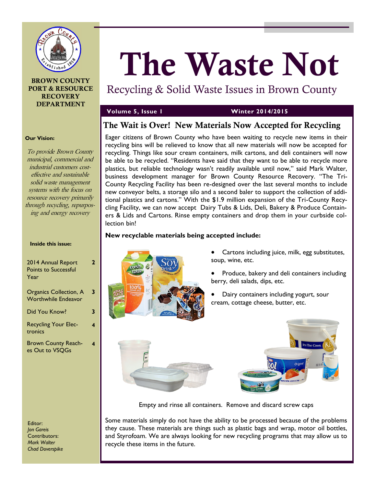

## **BROWN COUNTY PORT & RESOURCE RECOVERY DEPARTMENT**

## **Volume 5, Issue 1 Winter 2014/2015**

## **The Wait is Over! New Materials Now Accepted for Recycling**

Recycling & Solid Waste Issues in Brown County

**The Waste Not**

Eager citizens of Brown County who have been waiting to recycle new items in their recycling bins will be relieved to know that all new materials will now be accepted for recycling. Things like sour cream containers, milk cartons, and deli containers will now be able to be recycled. "Residents have said that they want to be able to recycle more plastics, but reliable technology wasn't readily available until now," said Mark Walter, business development manager for [Brown County Resource Recovery](http://www.browncountyrecycling.org/). "The Tri-County Recycling Facility has been re-designed over the last several months to include new conveyor belts, a storage silo and a second baler to support the collection of additional plastics and cartons." With the \$1.9 million expansion of the Tri-County Recycling Facility, we can now accept Dairy Tubs & Lids, Deli, Bakery & Produce Containers & Lids and Cartons. Rinse empty containers and drop them in your curbside collection bin!

## **New recyclable materials being accepted include:**



- Cartons including juice, milk, egg substitutes, soup, wine, etc.
- Produce, bakery and deli containers including berry, deli salads, dips, etc.
- Dairy containers including yogurt, sour cream, cottage cheese, butter, etc.



Empty and rinse all containers. Remove and discard screw caps

Some materials simply do not have the ability to be processed because of the problems they cause. These materials are things such as plastic bags and wrap, motor oil bottles, and Styrofoam. We are always looking for new recycling programs that may allow us to recycle these items in the future.

## **Our Vision:**

To provide Brown County municipal, commercial and industrial customers costeffective and sustainable solid waste management systems with the focus on resource recovery primarily through recycling, repurposing and energy recovery

|  | Inside this issue: |
|--|--------------------|
|  |                    |

| 2014 Annual Report<br><b>Points to Successful</b>           | 2 |
|-------------------------------------------------------------|---|
| Year                                                        |   |
| <b>Organics Collection, A</b><br><b>Worthwhile Endeavor</b> | 3 |
| Did You Know?                                               | 3 |
| <b>Recycling Your Elec-</b><br>tronics                      | 4 |
| <b>Brown County Reach-</b><br>es Out to VSQGs               | 4 |

**2**

Editor: *Jon Gareis* Contributors: *Mark Walter Chad Doverspike*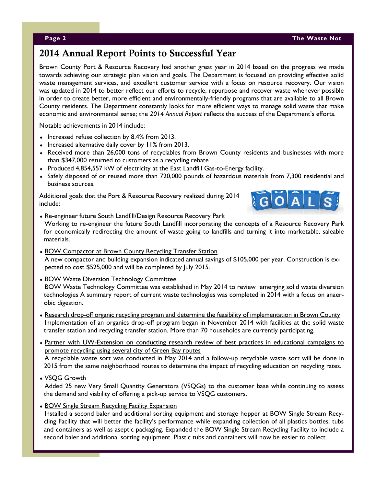# **2014 Annual Report Points to Successful Year**

Brown County Port & Resource Recovery had another great year in 2014 based on the progress we made towards achieving our strategic plan vision and goals. The Department is focused on providing effective solid waste management services, and excellent customer service with a focus on resource recovery. Our vision was updated in 2014 to better reflect our efforts to recycle, repurpose and recover waste whenever possible in order to create better, more efficient and environmentally-friendly programs that are available to all Brown County residents. The Department constantly looks for more efficient ways to manage solid waste that make economic and environmental sense; the *2014 Annual Report* reflects the success of the Department's efforts.

Notable achievements in 2014 include:

- $\bullet$  Increased refuse collection by 8.4% from 2013.
- Increased alternative daily cover by 11% from 2013.
- Received more than 26,000 tons of recyclables from Brown County residents and businesses with more than \$347,000 returned to customers as a recycling rebate
- Produced 4,854,557 kW of electricity at the East Landfill Gas-to-Energy facility.
- Safely disposed of or reused more than 720,000 pounds of hazardous materials from 7,300 residential and business sources.

Additional goals that the Port & Resource Recovery realized during 2014 include:



- Re-engineer future South Landfill/Design Resource Recovery Park Working to re-engineer the future South Landfill incorporating the concepts of a Resource Recovery Park for economically redirecting the amount of waste going to landfills and turning it into marketable, saleable materials.
- **BOW Compactor at Brown County Recycling Transfer Station** A new compactor and building expansion indicated annual savings of \$105,000 per year. Construction is expected to cost \$525,000 and will be completed by July 2015.
- **BOW Waste Diversion Technology Committee** BOW Waste Technology Committee was established in May 2014 to review emerging solid waste diversion technologies A summary report of current waste technologies was completed in 2014 with a focus on anaerobic digestion.
- Research drop-off organic recycling program and determine the feasibility of implementation in Brown County Implementation of an organics drop-off program began in November 2014 with facilities at the solid waste transfer station and recycling transfer station. More than 70 households are currently participating.
- Partner with UW-Extension on conducting research review of best practices in educational campaigns to promote recycling using several city of Green Bay routes A recyclable waste sort was conducted in May 2014 and a follow-up recyclable waste sort will be done in 2015 from the same neighborhood routes to determine the impact of recycling education on recycling rates.
- VSQG Growth

Added 25 new Very Small Quantity Generators (VSQGs) to the customer base while continuing to assess the demand and viability of offering a pick-up service to VSQG customers.

**BOW Single Stream Recycling Facility Expansion** 

Installed a second baler and additional sorting equipment and storage hopper at BOW Single Stream Recycling Facility that will better the facility's performance while expanding collection of all plastics bottles, tubs and containers as well as aseptic packaging. Expanded the BOW Single Stream Recycling Facility to include a second baler and additional sorting equipment. Plastic tubs and containers will now be easier to collect.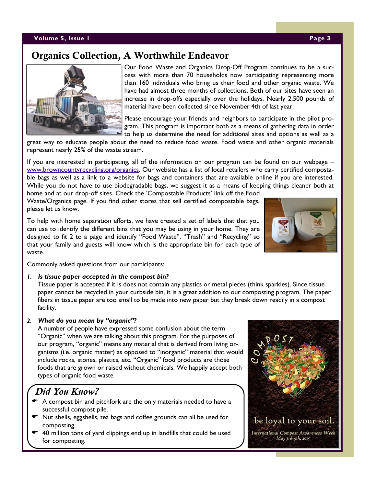## **Volume 5, Issue 1 Page 3**

## **Organics Collection, A Worthwhile Endeavor**

Our Food Waste and Organics Drop-Off Program continues to be a success with more than 70 households now participating representing more than 160 individuals who bring us their food and other organic waste. We have had almost three months of collections. Both of our sites have seen an increase in drop-offs especially over the holidays. Nearly 2,500 pounds of material have been collected since November 4th of last year.

Please encourage your friends and neighbors to participate in the pilot program. This program is important both as a means of gathering data in order to help us determine the need for additional sites and options as well as a

great way to educate people about the need to reduce food waste. Food waste and other organic materials represent nearly 25% of the waste stream.

If you are interested in participating, all of the information on our program can be found on our webpage – [www.browncountyrecycling.org/organics.](http://www.browncountyrecycling.org/organics) Our website has a list of local retailers who carry certified compostable bags as well as a link to a website for bags and containers that are available online if you are interested. While you do not have to use biodegradable bags, we suggest it as a means of keeping things cleaner both at

home and at our drop-off sites. Check the 'Compostable Products' link off the Food [Waste/Organics](http://www.browncountyrecycling.org/food-wasteorganics) page. If you find other stores that sell certified compostable bags, please let us know.

To help with home separation efforts, we have created a set of labels that that you can use to identify the different bins that you may be using in your home. They are designed to fit 2 to a page and identify "Food Waste", "Trash" and "Recycling" so that your family and guests will know which is the appropriate bin for each type of waste.

Commonly asked questions from our participants:

## *1. Is tissue paper accepted in the compost bin?*

Tissue paper is accepted if it is does not contain any plastics or metal pieces (think sparkles). Since tissue paper cannot be recycled in your curbside bin, it is a great addition to our composting program. The paper fibers in tissue paper are too small to be made into new paper but they break down readily in a compost facility.

## *2. What do you mean by "organic"?*

A number of people have expressed some confusion about the term "Organic" when we are talking about this program. For the purposes of our program, "organic" means any material that is derived from living organisms (i.e. organic matter) as opposed to "inorganic" material that would include rocks, stones, plastics, etc. "Organic" food products are those foods that are grown or raised without chemicals. We happily accept both types of organic food waste.

## *Did You Know?*

- A compost bin and pitchfork are the only materials needed to have a successful compost pile.
- Nut shells, eggshells, tea bags and coffee grounds can all be used for composting.
- 40 million tons of yard clippings end up in landfills that could be used for composting.



be loyal to your soil. International Compost Awareness Week May 3rd-9th, 2015